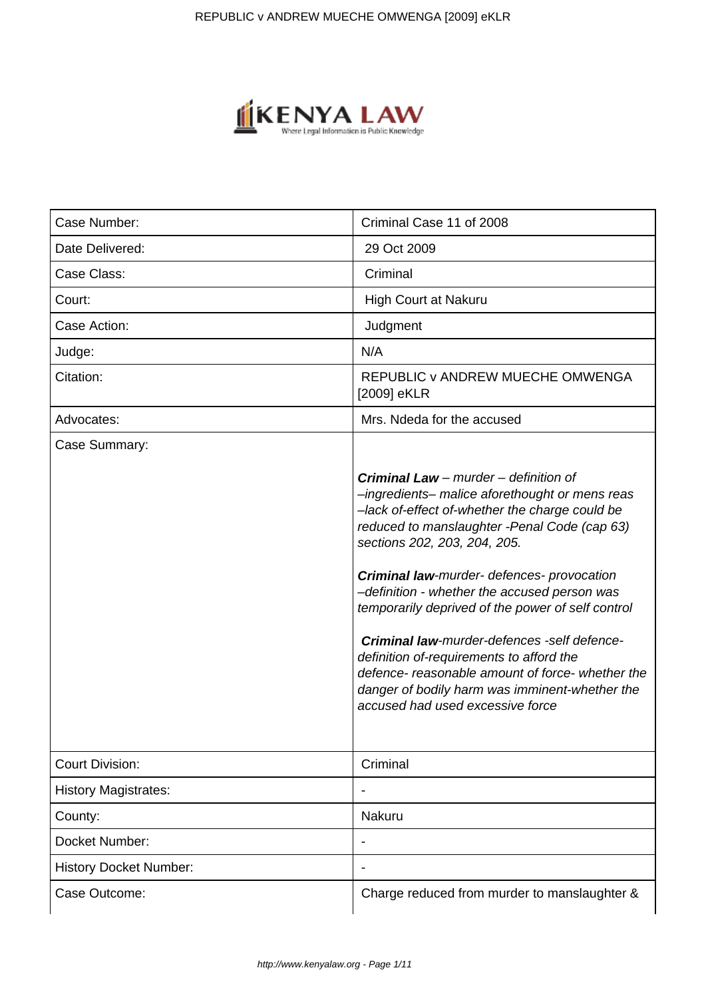

| Case Number:                  | Criminal Case 11 of 2008                                                                                                                                                                                                                                                                                                                                                                                                                                                                                                                                                                                                        |
|-------------------------------|---------------------------------------------------------------------------------------------------------------------------------------------------------------------------------------------------------------------------------------------------------------------------------------------------------------------------------------------------------------------------------------------------------------------------------------------------------------------------------------------------------------------------------------------------------------------------------------------------------------------------------|
| Date Delivered:               | 29 Oct 2009                                                                                                                                                                                                                                                                                                                                                                                                                                                                                                                                                                                                                     |
| Case Class:                   | Criminal                                                                                                                                                                                                                                                                                                                                                                                                                                                                                                                                                                                                                        |
| Court:                        | <b>High Court at Nakuru</b>                                                                                                                                                                                                                                                                                                                                                                                                                                                                                                                                                                                                     |
| Case Action:                  | Judgment                                                                                                                                                                                                                                                                                                                                                                                                                                                                                                                                                                                                                        |
| Judge:                        | N/A                                                                                                                                                                                                                                                                                                                                                                                                                                                                                                                                                                                                                             |
| Citation:                     | REPUBLIC v ANDREW MUECHE OMWENGA<br>[2009] eKLR                                                                                                                                                                                                                                                                                                                                                                                                                                                                                                                                                                                 |
| Advocates:                    | Mrs. Ndeda for the accused                                                                                                                                                                                                                                                                                                                                                                                                                                                                                                                                                                                                      |
| Case Summary:                 | <b>Criminal Law</b> – murder – definition of<br>-ingredients- malice aforethought or mens reas<br>-lack of-effect of-whether the charge could be<br>reduced to manslaughter -Penal Code (cap 63)<br>sections 202, 203, 204, 205.<br><b>Criminal law-murder- defences- provocation</b><br>-definition - whether the accused person was<br>temporarily deprived of the power of self control<br>Criminal law-murder-defences -self defence-<br>definition of-requirements to afford the<br>defence- reasonable amount of force- whether the<br>danger of bodily harm was imminent-whether the<br>accused had used excessive force |
| <b>Court Division:</b>        | Criminal                                                                                                                                                                                                                                                                                                                                                                                                                                                                                                                                                                                                                        |
| <b>History Magistrates:</b>   |                                                                                                                                                                                                                                                                                                                                                                                                                                                                                                                                                                                                                                 |
| County:                       | Nakuru                                                                                                                                                                                                                                                                                                                                                                                                                                                                                                                                                                                                                          |
| Docket Number:                | $\overline{\phantom{0}}$                                                                                                                                                                                                                                                                                                                                                                                                                                                                                                                                                                                                        |
| <b>History Docket Number:</b> |                                                                                                                                                                                                                                                                                                                                                                                                                                                                                                                                                                                                                                 |
| Case Outcome:                 | Charge reduced from murder to manslaughter &                                                                                                                                                                                                                                                                                                                                                                                                                                                                                                                                                                                    |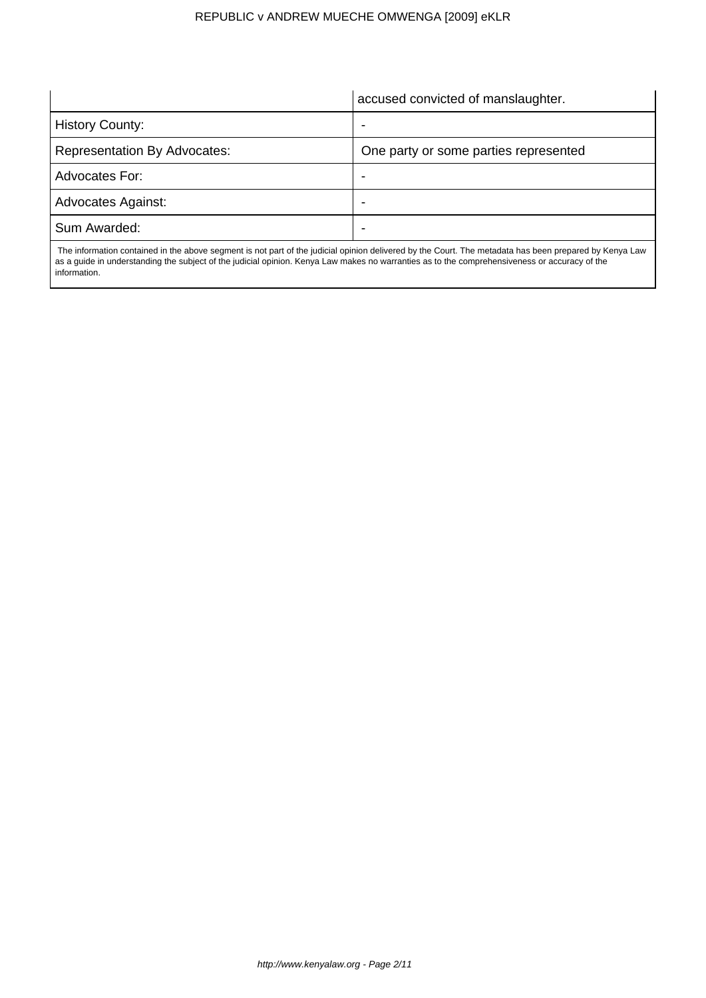accused convicted of manslaughter.

 $\overline{\phantom{a}}$ 

| <b>History County:</b>              | -                                     |
|-------------------------------------|---------------------------------------|
| <b>Representation By Advocates:</b> | One party or some parties represented |
| Advocates For:                      | -                                     |
| <b>Advocates Against:</b>           |                                       |
| Sum Awarded:                        | -                                     |
|                                     |                                       |

 $\overline{\phantom{a}}$ 

 The information contained in the above segment is not part of the judicial opinion delivered by the Court. The metadata has been prepared by Kenya Law as a guide in understanding the subject of the judicial opinion. Kenya Law makes no warranties as to the comprehensiveness or accuracy of the information.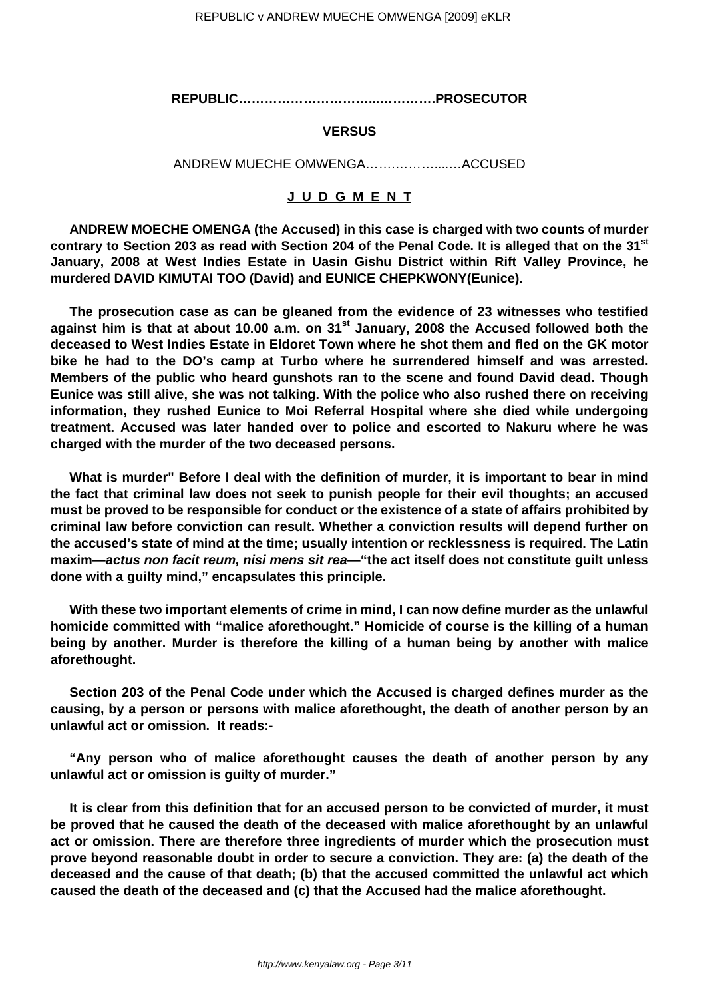**REPUBLIC…………………………...………….PROSECUTOR**

## **VERSUS**

ANDREW MUECHE OMWENGA…….………....…ACCUSED

## **J U D G M E N T**

**ANDREW MOECHE OMENGA (the Accused) in this case is charged with two counts of murder contrary to Section 203 as read with Section 204 of the Penal Code. It is alleged that on the 31st January, 2008 at West Indies Estate in Uasin Gishu District within Rift Valley Province, he murdered DAVID KIMUTAI TOO (David) and EUNICE CHEPKWONY(Eunice).**

**The prosecution case as can be gleaned from the evidence of 23 witnesses who testified against him is that at about 10.00 a.m. on 31st January, 2008 the Accused followed both the deceased to West Indies Estate in Eldoret Town where he shot them and fled on the GK motor bike he had to the DO's camp at Turbo where he surrendered himself and was arrested. Members of the public who heard gunshots ran to the scene and found David dead. Though Eunice was still alive, she was not talking. With the police who also rushed there on receiving information, they rushed Eunice to Moi Referral Hospital where she died while undergoing treatment. Accused was later handed over to police and escorted to Nakuru where he was charged with the murder of the two deceased persons.**

**What is murder" Before I deal with the definition of murder, it is important to bear in mind the fact that criminal law does not seek to punish people for their evil thoughts; an accused must be proved to be responsible for conduct or the existence of a state of affairs prohibited by criminal law before conviction can result. Whether a conviction results will depend further on the accused's state of mind at the time; usually intention or recklessness is required. The Latin maxim—actus non facit reum, nisi mens sit rea—"the act itself does not constitute guilt unless done with a guilty mind," encapsulates this principle.** 

**With these two important elements of crime in mind, I can now define murder as the unlawful homicide committed with "malice aforethought." Homicide of course is the killing of a human being by another. Murder is therefore the killing of a human being by another with malice aforethought.** 

**Section 203 of the Penal Code under which the Accused is charged defines murder as the causing, by a person or persons with malice aforethought, the death of another person by an unlawful act or omission. It reads:-**

**"Any person who of malice aforethought causes the death of another person by any unlawful act or omission is guilty of murder."**

**It is clear from this definition that for an accused person to be convicted of murder, it must be proved that he caused the death of the deceased with malice aforethought by an unlawful act or omission. There are therefore three ingredients of murder which the prosecution must prove beyond reasonable doubt in order to secure a conviction. They are: (a) the death of the deceased and the cause of that death; (b) that the accused committed the unlawful act which caused the death of the deceased and (c) that the Accused had the malice aforethought.**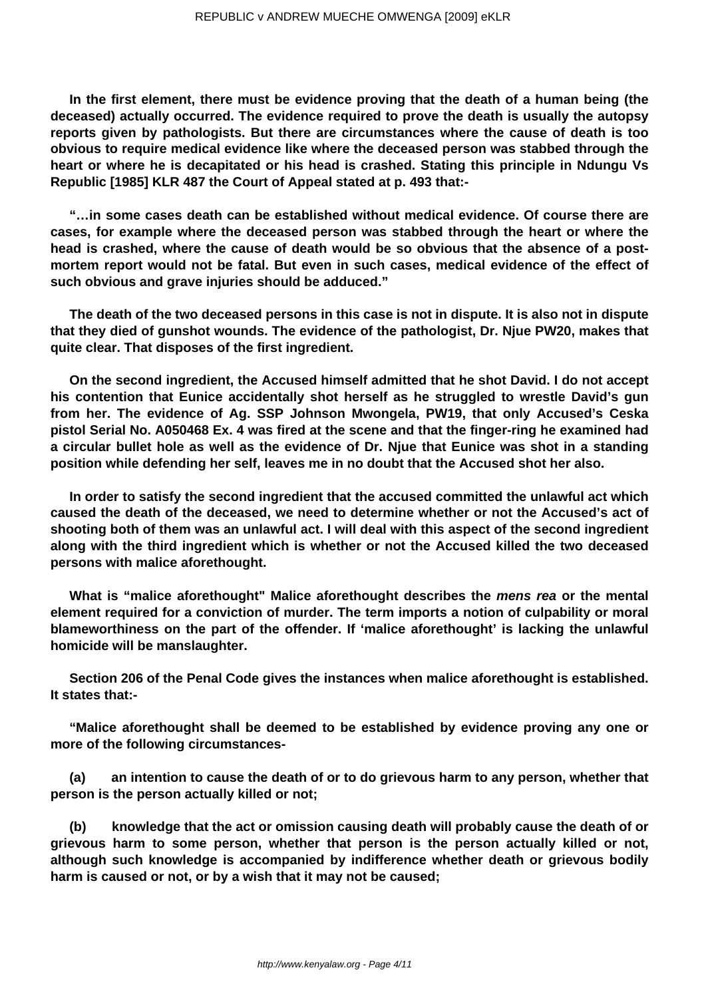**In the first element, there must be evidence proving that the death of a human being (the deceased) actually occurred. The evidence required to prove the death is usually the autopsy reports given by pathologists. But there are circumstances where the cause of death is too obvious to require medical evidence like where the deceased person was stabbed through the heart or where he is decapitated or his head is crashed. Stating this principle in Ndungu Vs Republic [1985] KLR 487 the Court of Appeal stated at p. 493 that:-**

**"…in some cases death can be established without medical evidence. Of course there are cases, for example where the deceased person was stabbed through the heart or where the head is crashed, where the cause of death would be so obvious that the absence of a postmortem report would not be fatal. But even in such cases, medical evidence of the effect of such obvious and grave injuries should be adduced."**

**The death of the two deceased persons in this case is not in dispute. It is also not in dispute that they died of gunshot wounds. The evidence of the pathologist, Dr. Njue PW20, makes that quite clear. That disposes of the first ingredient.**

**On the second ingredient, the Accused himself admitted that he shot David. I do not accept his contention that Eunice accidentally shot herself as he struggled to wrestle David's gun from her. The evidence of Ag. SSP Johnson Mwongela, PW19, that only Accused's Ceska pistol Serial No. A050468 Ex. 4 was fired at the scene and that the finger-ring he examined had a circular bullet hole as well as the evidence of Dr. Njue that Eunice was shot in a standing position while defending her self, leaves me in no doubt that the Accused shot her also.**

**In order to satisfy the second ingredient that the accused committed the unlawful act which caused the death of the deceased, we need to determine whether or not the Accused's act of shooting both of them was an unlawful act. I will deal with this aspect of the second ingredient along with the third ingredient which is whether or not the Accused killed the two deceased persons with malice aforethought.**

**What is "malice aforethought" Malice aforethought describes the mens rea or the mental element required for a conviction of murder. The term imports a notion of culpability or moral blameworthiness on the part of the offender. If 'malice aforethought' is lacking the unlawful homicide will be manslaughter.**

**Section 206 of the Penal Code gives the instances when malice aforethought is established. It states that:-**

**"Malice aforethought shall be deemed to be established by evidence proving any one or more of the following circumstances-**

**(a) an intention to cause the death of or to do grievous harm to any person, whether that person is the person actually killed or not;**

**(b) knowledge that the act or omission causing death will probably cause the death of or grievous harm to some person, whether that person is the person actually killed or not, although such knowledge is accompanied by indifference whether death or grievous bodily harm is caused or not, or by a wish that it may not be caused;**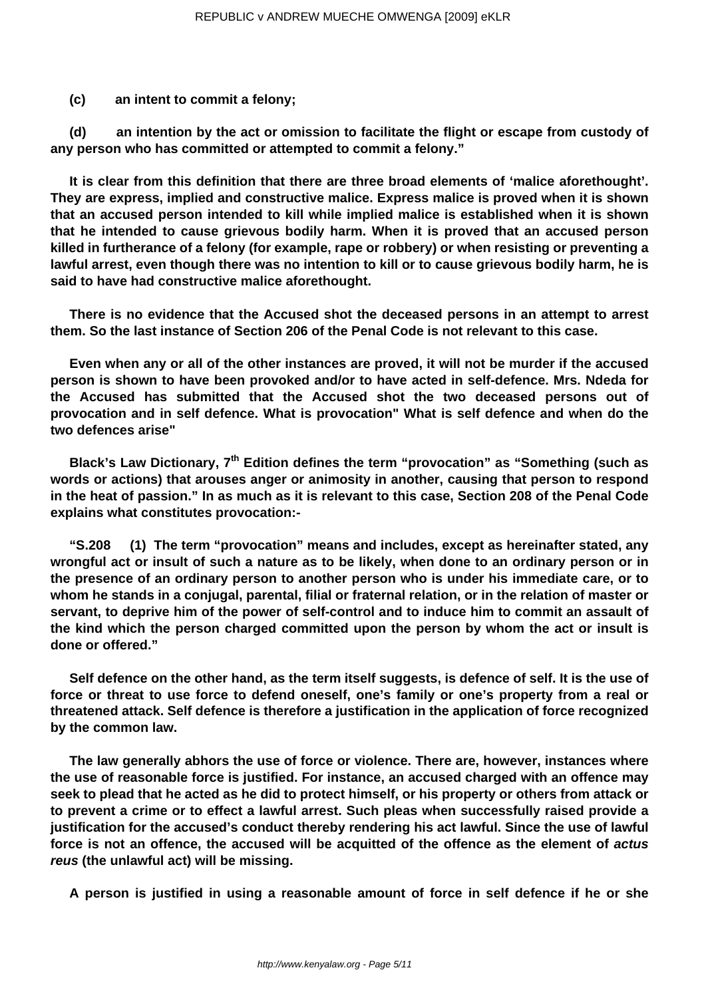**(c) an intent to commit a felony;**

**(d) an intention by the act or omission to facilitate the flight or escape from custody of any person who has committed or attempted to commit a felony."**

**It is clear from this definition that there are three broad elements of 'malice aforethought'. They are express, implied and constructive malice. Express malice is proved when it is shown that an accused person intended to kill while implied malice is established when it is shown that he intended to cause grievous bodily harm. When it is proved that an accused person killed in furtherance of a felony (for example, rape or robbery) or when resisting or preventing a lawful arrest, even though there was no intention to kill or to cause grievous bodily harm, he is said to have had constructive malice aforethought.**

**There is no evidence that the Accused shot the deceased persons in an attempt to arrest them. So the last instance of Section 206 of the Penal Code is not relevant to this case.**

**Even when any or all of the other instances are proved, it will not be murder if the accused person is shown to have been provoked and/or to have acted in self-defence. Mrs. Ndeda for the Accused has submitted that the Accused shot the two deceased persons out of provocation and in self defence. What is provocation" What is self defence and when do the two defences arise"**

**Black's Law Dictionary, 7th Edition defines the term "provocation" as "Something (such as words or actions) that arouses anger or animosity in another, causing that person to respond in the heat of passion." In as much as it is relevant to this case, Section 208 of the Penal Code explains what constitutes provocation:-**

**"S.208 (1) The term "provocation" means and includes, except as hereinafter stated, any wrongful act or insult of such a nature as to be likely, when done to an ordinary person or in the presence of an ordinary person to another person who is under his immediate care, or to whom he stands in a conjugal, parental, filial or fraternal relation, or in the relation of master or servant, to deprive him of the power of self-control and to induce him to commit an assault of the kind which the person charged committed upon the person by whom the act or insult is done or offered."**

**Self defence on the other hand, as the term itself suggests, is defence of self. It is the use of force or threat to use force to defend oneself, one's family or one's property from a real or threatened attack. Self defence is therefore a justification in the application of force recognized by the common law.**

**The law generally abhors the use of force or violence. There are, however, instances where the use of reasonable force is justified. For instance, an accused charged with an offence may seek to plead that he acted as he did to protect himself, or his property or others from attack or to prevent a crime or to effect a lawful arrest. Such pleas when successfully raised provide a justification for the accused's conduct thereby rendering his act lawful. Since the use of lawful force is not an offence, the accused will be acquitted of the offence as the element of actus reus (the unlawful act) will be missing.**

**A person is justified in using a reasonable amount of force in self defence if he or she**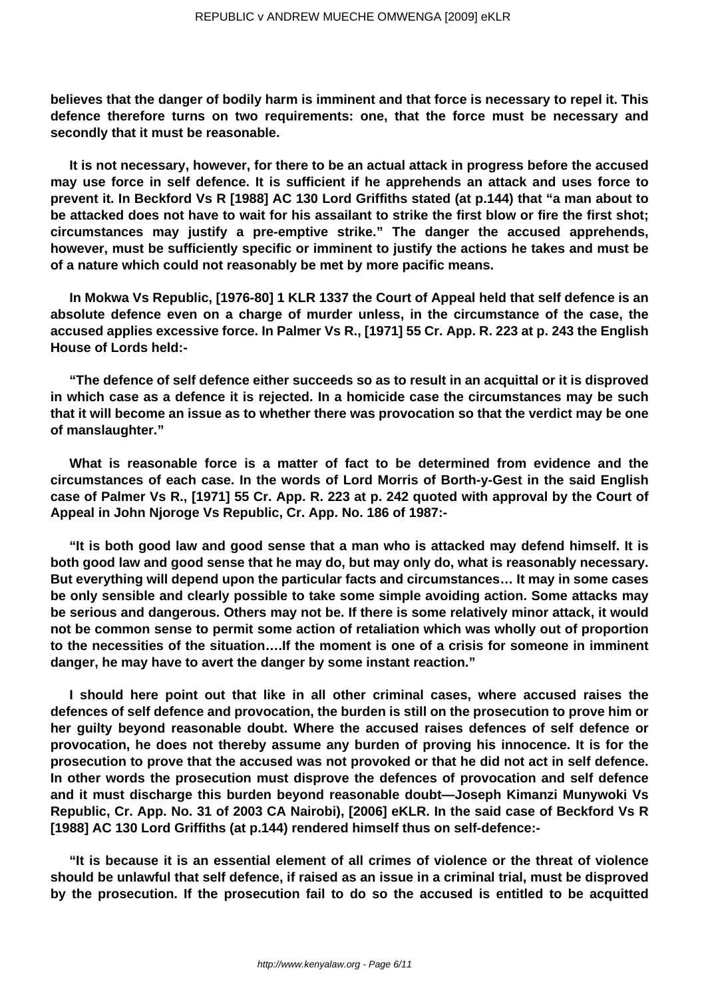**believes that the danger of bodily harm is imminent and that force is necessary to repel it. This defence therefore turns on two requirements: one, that the force must be necessary and secondly that it must be reasonable.**

**It is not necessary, however, for there to be an actual attack in progress before the accused may use force in self defence. It is sufficient if he apprehends an attack and uses force to prevent it. In Beckford Vs R [1988] AC 130 Lord Griffiths stated (at p.144) that "a man about to be attacked does not have to wait for his assailant to strike the first blow or fire the first shot; circumstances may justify a pre-emptive strike." The danger the accused apprehends, however, must be sufficiently specific or imminent to justify the actions he takes and must be of a nature which could not reasonably be met by more pacific means.**

**In Mokwa Vs Republic, [1976-80] 1 KLR 1337 the Court of Appeal held that self defence is an absolute defence even on a charge of murder unless, in the circumstance of the case, the accused applies excessive force. In Palmer Vs R., [1971] 55 Cr. App. R. 223 at p. 243 the English House of Lords held:-**

**"The defence of self defence either succeeds so as to result in an acquittal or it is disproved in which case as a defence it is rejected. In a homicide case the circumstances may be such that it will become an issue as to whether there was provocation so that the verdict may be one of manslaughter."**

**What is reasonable force is a matter of fact to be determined from evidence and the circumstances of each case. In the words of Lord Morris of Borth-y-Gest in the said English case of Palmer Vs R., [1971] 55 Cr. App. R. 223 at p. 242 quoted with approval by the Court of Appeal in John Njoroge Vs Republic, Cr. App. No. 186 of 1987:-**

**"It is both good law and good sense that a man who is attacked may defend himself. It is both good law and good sense that he may do, but may only do, what is reasonably necessary. But everything will depend upon the particular facts and circumstances… It may in some cases be only sensible and clearly possible to take some simple avoiding action. Some attacks may be serious and dangerous. Others may not be. If there is some relatively minor attack, it would not be common sense to permit some action of retaliation which was wholly out of proportion to the necessities of the situation….If the moment is one of a crisis for someone in imminent danger, he may have to avert the danger by some instant reaction."**

**I should here point out that like in all other criminal cases, where accused raises the defences of self defence and provocation, the burden is still on the prosecution to prove him or her guilty beyond reasonable doubt. Where the accused raises defences of self defence or provocation, he does not thereby assume any burden of proving his innocence. It is for the prosecution to prove that the accused was not provoked or that he did not act in self defence. In other words the prosecution must disprove the defences of provocation and self defence and it must discharge this burden beyond reasonable doubt—Joseph Kimanzi Munywoki Vs Republic, Cr. App. No. 31 of 2003 CA Nairobi), [2006] eKLR. In the said case of Beckford Vs R [1988] AC 130 Lord Griffiths (at p.144) rendered himself thus on self-defence:-**

**"It is because it is an essential element of all crimes of violence or the threat of violence should be unlawful that self defence, if raised as an issue in a criminal trial, must be disproved by the prosecution. If the prosecution fail to do so the accused is entitled to be acquitted**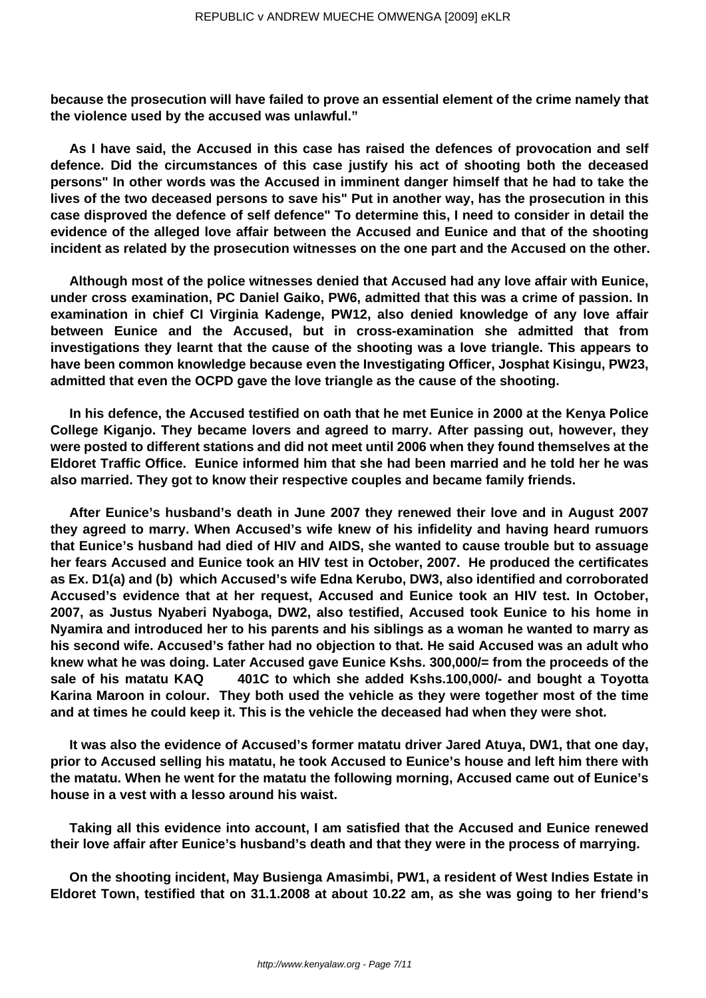**because the prosecution will have failed to prove an essential element of the crime namely that the violence used by the accused was unlawful."** 

**As I have said, the Accused in this case has raised the defences of provocation and self defence. Did the circumstances of this case justify his act of shooting both the deceased persons" In other words was the Accused in imminent danger himself that he had to take the lives of the two deceased persons to save his" Put in another way, has the prosecution in this case disproved the defence of self defence" To determine this, I need to consider in detail the evidence of the alleged love affair between the Accused and Eunice and that of the shooting incident as related by the prosecution witnesses on the one part and the Accused on the other.**

**Although most of the police witnesses denied that Accused had any love affair with Eunice, under cross examination, PC Daniel Gaiko, PW6, admitted that this was a crime of passion. In examination in chief CI Virginia Kadenge, PW12, also denied knowledge of any love affair between Eunice and the Accused, but in cross-examination she admitted that from investigations they learnt that the cause of the shooting was a love triangle. This appears to have been common knowledge because even the Investigating Officer, Josphat Kisingu, PW23, admitted that even the OCPD gave the love triangle as the cause of the shooting.**

**In his defence, the Accused testified on oath that he met Eunice in 2000 at the Kenya Police College Kiganjo. They became lovers and agreed to marry. After passing out, however, they were posted to different stations and did not meet until 2006 when they found themselves at the Eldoret Traffic Office. Eunice informed him that she had been married and he told her he was also married. They got to know their respective couples and became family friends.**

**After Eunice's husband's death in June 2007 they renewed their love and in August 2007 they agreed to marry. When Accused's wife knew of his infidelity and having heard rumuors that Eunice's husband had died of HIV and AIDS, she wanted to cause trouble but to assuage her fears Accused and Eunice took an HIV test in October, 2007. He produced the certificates as Ex. D1(a) and (b) which Accused's wife Edna Kerubo, DW3, also identified and corroborated Accused's evidence that at her request, Accused and Eunice took an HIV test. In October, 2007, as Justus Nyaberi Nyaboga, DW2, also testified, Accused took Eunice to his home in Nyamira and introduced her to his parents and his siblings as a woman he wanted to marry as his second wife. Accused's father had no objection to that. He said Accused was an adult who knew what he was doing. Later Accused gave Eunice Kshs. 300,000/= from the proceeds of the sale of his matatu KAQ 401C to which she added Kshs.100,000/- and bought a Toyotta Karina Maroon in colour. They both used the vehicle as they were together most of the time and at times he could keep it. This is the vehicle the deceased had when they were shot.**

**It was also the evidence of Accused's former matatu driver Jared Atuya, DW1, that one day, prior to Accused selling his matatu, he took Accused to Eunice's house and left him there with the matatu. When he went for the matatu the following morning, Accused came out of Eunice's house in a vest with a lesso around his waist.**

**Taking all this evidence into account, I am satisfied that the Accused and Eunice renewed their love affair after Eunice's husband's death and that they were in the process of marrying.**

**On the shooting incident, May Busienga Amasimbi, PW1, a resident of West Indies Estate in Eldoret Town, testified that on 31.1.2008 at about 10.22 am, as she was going to her friend's**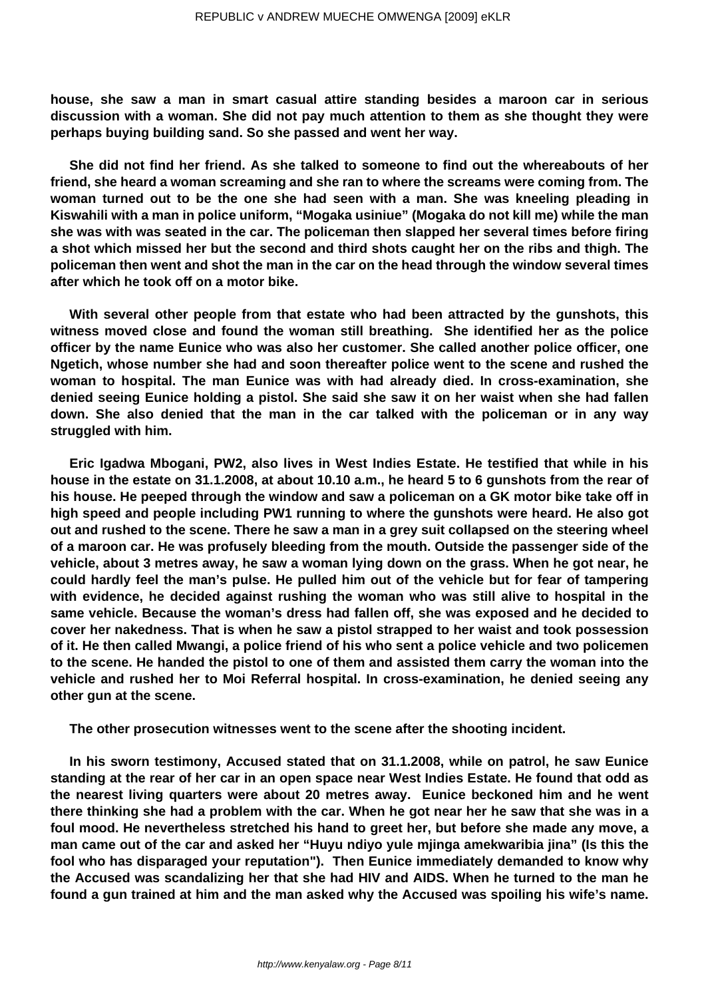**house, she saw a man in smart casual attire standing besides a maroon car in serious discussion with a woman. She did not pay much attention to them as she thought they were perhaps buying building sand. So she passed and went her way.**

**She did not find her friend. As she talked to someone to find out the whereabouts of her friend, she heard a woman screaming and she ran to where the screams were coming from. The woman turned out to be the one she had seen with a man. She was kneeling pleading in Kiswahili with a man in police uniform, "Mogaka usiniue" (Mogaka do not kill me) while the man she was with was seated in the car. The policeman then slapped her several times before firing a shot which missed her but the second and third shots caught her on the ribs and thigh. The policeman then went and shot the man in the car on the head through the window several times after which he took off on a motor bike.**

**With several other people from that estate who had been attracted by the gunshots, this witness moved close and found the woman still breathing. She identified her as the police officer by the name Eunice who was also her customer. She called another police officer, one Ngetich, whose number she had and soon thereafter police went to the scene and rushed the woman to hospital. The man Eunice was with had already died. In cross-examination, she denied seeing Eunice holding a pistol. She said she saw it on her waist when she had fallen down. She also denied that the man in the car talked with the policeman or in any way struggled with him.**

**Eric Igadwa Mbogani, PW2, also lives in West Indies Estate. He testified that while in his house in the estate on 31.1.2008, at about 10.10 a.m., he heard 5 to 6 gunshots from the rear of his house. He peeped through the window and saw a policeman on a GK motor bike take off in high speed and people including PW1 running to where the gunshots were heard. He also got out and rushed to the scene. There he saw a man in a grey suit collapsed on the steering wheel of a maroon car. He was profusely bleeding from the mouth. Outside the passenger side of the vehicle, about 3 metres away, he saw a woman lying down on the grass. When he got near, he could hardly feel the man's pulse. He pulled him out of the vehicle but for fear of tampering with evidence, he decided against rushing the woman who was still alive to hospital in the same vehicle. Because the woman's dress had fallen off, she was exposed and he decided to cover her nakedness. That is when he saw a pistol strapped to her waist and took possession of it. He then called Mwangi, a police friend of his who sent a police vehicle and two policemen to the scene. He handed the pistol to one of them and assisted them carry the woman into the vehicle and rushed her to Moi Referral hospital. In cross-examination, he denied seeing any other gun at the scene.**

**The other prosecution witnesses went to the scene after the shooting incident.**

**In his sworn testimony, Accused stated that on 31.1.2008, while on patrol, he saw Eunice standing at the rear of her car in an open space near West Indies Estate. He found that odd as the nearest living quarters were about 20 metres away. Eunice beckoned him and he went there thinking she had a problem with the car. When he got near her he saw that she was in a foul mood. He nevertheless stretched his hand to greet her, but before she made any move, a man came out of the car and asked her "Huyu ndiyo yule mjinga amekwaribia jina" (Is this the fool who has disparaged your reputation"). Then Eunice immediately demanded to know why the Accused was scandalizing her that she had HIV and AIDS. When he turned to the man he found a gun trained at him and the man asked why the Accused was spoiling his wife's name.**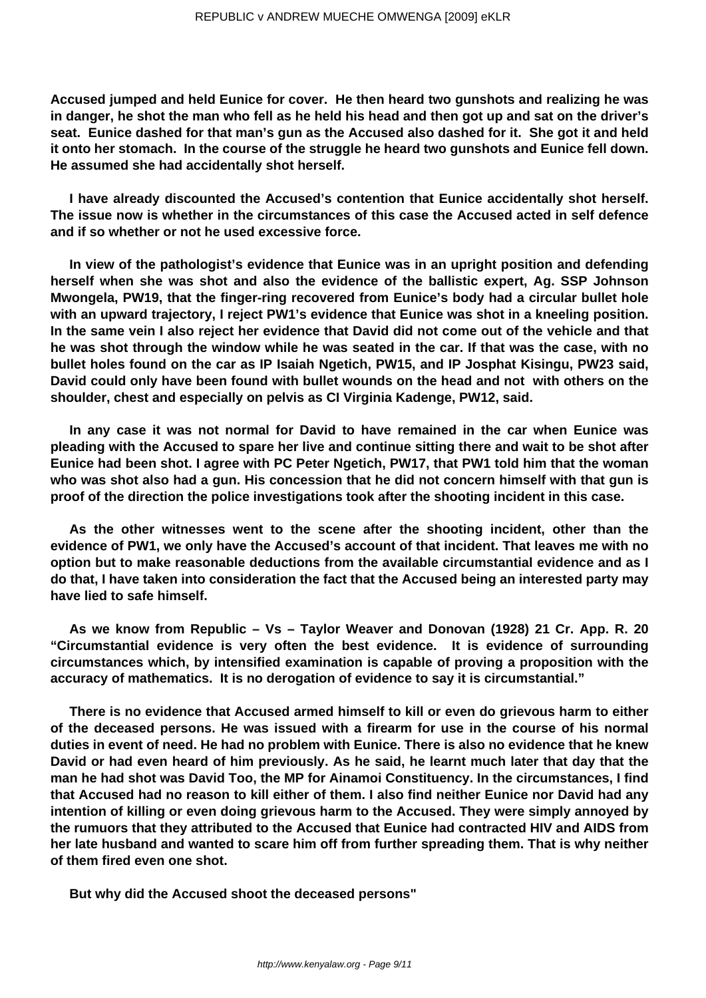**Accused jumped and held Eunice for cover. He then heard two gunshots and realizing he was in danger, he shot the man who fell as he held his head and then got up and sat on the driver's seat. Eunice dashed for that man's gun as the Accused also dashed for it. She got it and held it onto her stomach. In the course of the struggle he heard two gunshots and Eunice fell down. He assumed she had accidentally shot herself.**

**I have already discounted the Accused's contention that Eunice accidentally shot herself. The issue now is whether in the circumstances of this case the Accused acted in self defence and if so whether or not he used excessive force.**

**In view of the pathologist's evidence that Eunice was in an upright position and defending herself when she was shot and also the evidence of the ballistic expert, Ag. SSP Johnson Mwongela, PW19, that the finger-ring recovered from Eunice's body had a circular bullet hole with an upward trajectory, I reject PW1's evidence that Eunice was shot in a kneeling position. In the same vein I also reject her evidence that David did not come out of the vehicle and that he was shot through the window while he was seated in the car. If that was the case, with no bullet holes found on the car as IP Isaiah Ngetich, PW15, and IP Josphat Kisingu, PW23 said, David could only have been found with bullet wounds on the head and not with others on the shoulder, chest and especially on pelvis as CI Virginia Kadenge, PW12, said.**

**In any case it was not normal for David to have remained in the car when Eunice was pleading with the Accused to spare her live and continue sitting there and wait to be shot after Eunice had been shot. I agree with PC Peter Ngetich, PW17, that PW1 told him that the woman who was shot also had a gun. His concession that he did not concern himself with that gun is proof of the direction the police investigations took after the shooting incident in this case.**

**As the other witnesses went to the scene after the shooting incident, other than the evidence of PW1, we only have the Accused's account of that incident. That leaves me with no option but to make reasonable deductions from the available circumstantial evidence and as I do that, I have taken into consideration the fact that the Accused being an interested party may have lied to safe himself.**

**As we know from Republic – Vs – Taylor Weaver and Donovan (1928) 21 Cr. App. R. 20 "Circumstantial evidence is very often the best evidence. It is evidence of surrounding circumstances which, by intensified examination is capable of proving a proposition with the accuracy of mathematics. It is no derogation of evidence to say it is circumstantial."**

**There is no evidence that Accused armed himself to kill or even do grievous harm to either of the deceased persons. He was issued with a firearm for use in the course of his normal duties in event of need. He had no problem with Eunice. There is also no evidence that he knew David or had even heard of him previously. As he said, he learnt much later that day that the man he had shot was David Too, the MP for Ainamoi Constituency. In the circumstances, I find that Accused had no reason to kill either of them. I also find neither Eunice nor David had any intention of killing or even doing grievous harm to the Accused. They were simply annoyed by the rumuors that they attributed to the Accused that Eunice had contracted HIV and AIDS from her late husband and wanted to scare him off from further spreading them. That is why neither of them fired even one shot.**

**But why did the Accused shoot the deceased persons"**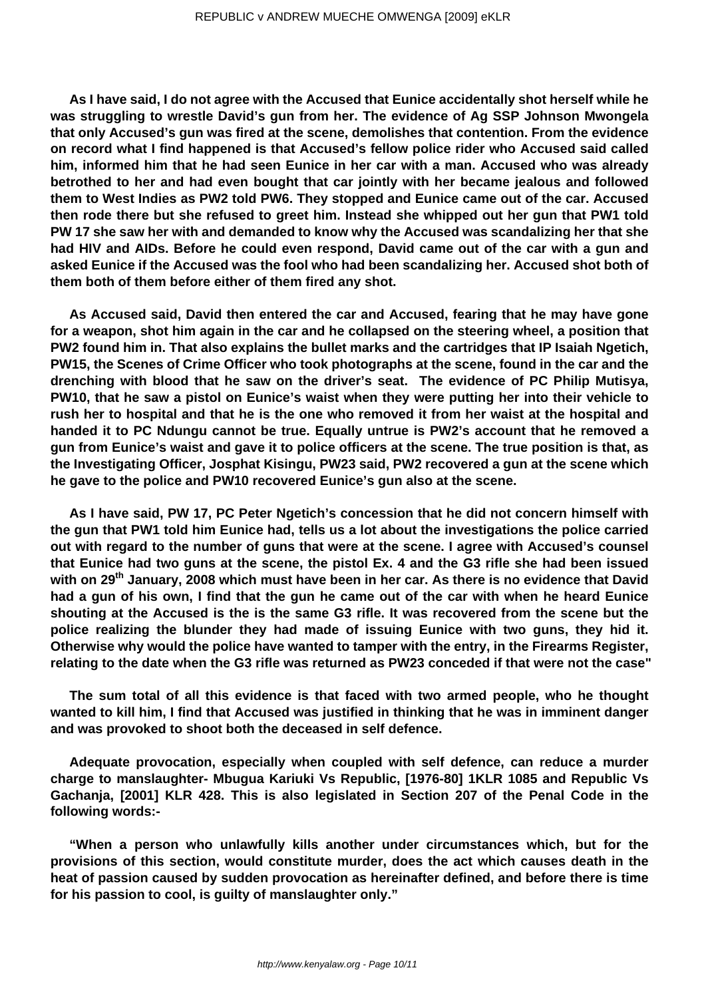**As I have said, I do not agree with the Accused that Eunice accidentally shot herself while he was struggling to wrestle David's gun from her. The evidence of Ag SSP Johnson Mwongela that only Accused's gun was fired at the scene, demolishes that contention. From the evidence on record what I find happened is that Accused's fellow police rider who Accused said called him, informed him that he had seen Eunice in her car with a man. Accused who was already betrothed to her and had even bought that car jointly with her became jealous and followed them to West Indies as PW2 told PW6. They stopped and Eunice came out of the car. Accused then rode there but she refused to greet him. Instead she whipped out her gun that PW1 told PW 17 she saw her with and demanded to know why the Accused was scandalizing her that she had HIV and AIDs. Before he could even respond, David came out of the car with a gun and asked Eunice if the Accused was the fool who had been scandalizing her. Accused shot both of them both of them before either of them fired any shot.**

**As Accused said, David then entered the car and Accused, fearing that he may have gone for a weapon, shot him again in the car and he collapsed on the steering wheel, a position that PW2 found him in. That also explains the bullet marks and the cartridges that IP Isaiah Ngetich, PW15, the Scenes of Crime Officer who took photographs at the scene, found in the car and the drenching with blood that he saw on the driver's seat. The evidence of PC Philip Mutisya, PW10, that he saw a pistol on Eunice's waist when they were putting her into their vehicle to rush her to hospital and that he is the one who removed it from her waist at the hospital and handed it to PC Ndungu cannot be true. Equally untrue is PW2's account that he removed a gun from Eunice's waist and gave it to police officers at the scene. The true position is that, as the Investigating Officer, Josphat Kisingu, PW23 said, PW2 recovered a gun at the scene which he gave to the police and PW10 recovered Eunice's gun also at the scene.**

**As I have said, PW 17, PC Peter Ngetich's concession that he did not concern himself with the gun that PW1 told him Eunice had, tells us a lot about the investigations the police carried out with regard to the number of guns that were at the scene. I agree with Accused's counsel that Eunice had two guns at the scene, the pistol Ex. 4 and the G3 rifle she had been issued with on 29th January, 2008 which must have been in her car. As there is no evidence that David had a gun of his own, I find that the gun he came out of the car with when he heard Eunice shouting at the Accused is the is the same G3 rifle. It was recovered from the scene but the police realizing the blunder they had made of issuing Eunice with two guns, they hid it. Otherwise why would the police have wanted to tamper with the entry, in the Firearms Register, relating to the date when the G3 rifle was returned as PW23 conceded if that were not the case"**

**The sum total of all this evidence is that faced with two armed people, who he thought wanted to kill him, I find that Accused was justified in thinking that he was in imminent danger and was provoked to shoot both the deceased in self defence.**

**Adequate provocation, especially when coupled with self defence, can reduce a murder charge to manslaughter- Mbugua Kariuki Vs Republic, [1976-80] 1KLR 1085 and Republic Vs Gachanja, [2001] KLR 428. This is also legislated in Section 207 of the Penal Code in the following words:-**

**"When a person who unlawfully kills another under circumstances which, but for the provisions of this section, would constitute murder, does the act which causes death in the heat of passion caused by sudden provocation as hereinafter defined, and before there is time for his passion to cool, is guilty of manslaughter only."**